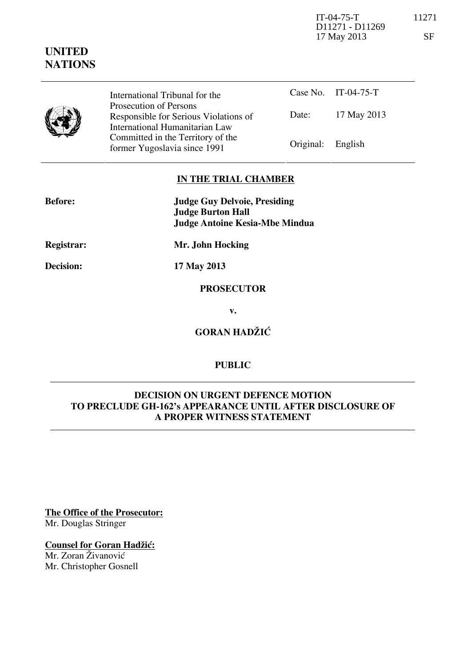IT-04-75-T 11271 D11271 - D11269 17 May 2013 SF

# **UNITED NATIONS**

Case No. IT-04-75-T Date: 17 May 2013 International Tribunal for the Prosecution of Persons Responsible for Serious Violations of International Humanitarian Law Committed in the Territory of the former Yugoslavia since 1991 Original: English

## **IN THE TRIAL CHAMBER**

| <b>Before:</b> | <b>Judge Guy Delvoie, Presiding</b><br><b>Judge Burton Hall</b> |
|----------------|-----------------------------------------------------------------|
| Registrar:     | Judge Antoine Kesia-Mbe Mindua<br>Mr. John Hocking              |

**Decision: 17 May 2013** 

#### **PROSECUTOR**

**v.** 

**GORAN HADŽIĆ** 

## **PUBLIC**

### **DECISION ON URGENT DEFENCE MOTION TO PRECLUDE GH-162's APPEARANCE UNTIL AFTER DISCLOSURE OF A PROPER WITNESS STATEMENT**

**The Office of the Prosecutor:** Mr. Douglas Stringer

### **Counsel for Goran Hadžić:**

Mr. Zoran Živanović Mr. Christopher Gosnell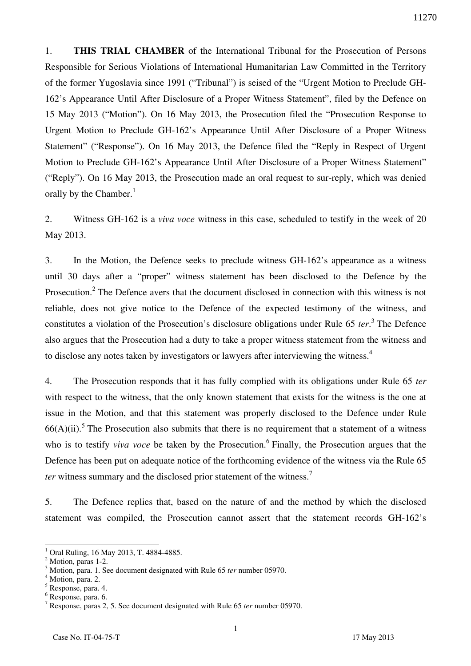1. **THIS TRIAL CHAMBER** of the International Tribunal for the Prosecution of Persons Responsible for Serious Violations of International Humanitarian Law Committed in the Territory of the former Yugoslavia since 1991 ("Tribunal") is seised of the "Urgent Motion to Preclude GH-162's Appearance Until After Disclosure of a Proper Witness Statement", filed by the Defence on 15 May 2013 ("Motion"). On 16 May 2013, the Prosecution filed the "Prosecution Response to Urgent Motion to Preclude GH-162's Appearance Until After Disclosure of a Proper Witness Statement" ("Response"). On 16 May 2013, the Defence filed the "Reply in Respect of Urgent Motion to Preclude GH-162's Appearance Until After Disclosure of a Proper Witness Statement" ("Reply"). On 16 May 2013, the Prosecution made an oral request to sur-reply, which was denied orally by the Chamber.<sup>1</sup>

2. Witness GH-162 is a *viva voce* witness in this case, scheduled to testify in the week of 20 May 2013.

3. In the Motion, the Defence seeks to preclude witness GH-162's appearance as a witness until 30 days after a "proper" witness statement has been disclosed to the Defence by the Prosecution.<sup>2</sup> The Defence avers that the document disclosed in connection with this witness is not reliable, does not give notice to the Defence of the expected testimony of the witness, and constitutes a violation of the Prosecution's disclosure obligations under Rule 65 *ter*. 3 The Defence also argues that the Prosecution had a duty to take a proper witness statement from the witness and to disclose any notes taken by investigators or lawyers after interviewing the witness.<sup>4</sup>

4. The Prosecution responds that it has fully complied with its obligations under Rule 65 *ter* with respect to the witness, that the only known statement that exists for the witness is the one at issue in the Motion, and that this statement was properly disclosed to the Defence under Rule  $66(A)(ii)$ .<sup>5</sup> The Prosecution also submits that there is no requirement that a statement of a witness who is to testify *viva voce* be taken by the Prosecution.<sup>6</sup> Finally, the Prosecution argues that the Defence has been put on adequate notice of the forthcoming evidence of the witness via the Rule 65 *ter* witness summary and the disclosed prior statement of the witness.<sup>7</sup>

5. The Defence replies that, based on the nature of and the method by which the disclosed statement was compiled, the Prosecution cannot assert that the statement records GH-162's

 $\overline{a}$ 

<sup>1</sup> Oral Ruling, 16 May 2013, T. 4884-4885.

<sup>&</sup>lt;sup>2</sup> Motion, paras 1-2.

<sup>3</sup> Motion, para. 1. See document designated with Rule 65 *ter* number 05970.

<sup>&</sup>lt;sup>4</sup> Motion, para. 2.

<sup>5</sup> Response, para. 4.

<sup>6</sup> Response, para. 6.

<sup>7</sup> Response, paras 2, 5. See document designated with Rule 65 *ter* number 05970.